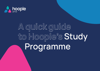

# **A quick guide to Hoople's Study Programme**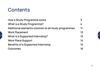#### **Contents**

| <b>How a Study Programme works</b>                 | 3  |
|----------------------------------------------------|----|
| What is a Study Programme?                         | 4  |
| Additional elements common to all study programmes | 11 |
| <b>Work Placement</b>                              | 12 |
| What is a Supported Internship?                    | 13 |
| <b>Work Place Support</b>                          | 14 |
| <b>Benefits of a Supported Internship</b>          | 15 |
| Outcomes                                           | 16 |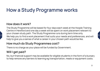# <span id="page-2-0"></span>**How a Study Programme works**

#### **How does it work?**

The Study Programme will be based for four days each week at the Hoople Training Centre in Hereford and one day a week will be spent on work placement relevant to your chosen study path. The Study Programme runs during term time only. We help you to find a work placement that suits your needs and preferences, and will help to give you a sense of what a career in your chosen path would be like.

#### **How much do Study Programmes cost?**

There is no charge as your place will be funded by Government.

#### **Will I get paid?**

 $\hat{\lambda}$ 

No, but financial support may be available for eligible students in the form of a bursary to help remove any barriers to learning eg transportation, meals or equipment costs.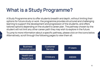### <span id="page-3-0"></span>**What is a Study Programme?**

 $\lambda$ 

A Study Programme aims to offer students breadth and depth, without limiting their options for future study or work. the programme provides structured and challenging learning to support the development and progression of the students, and offers tailored options depending on the student's career plan. The pathway chosen by the student will not limit any other career path they may wish to explore in the future.

To jump to more information about a specific pathway, please click on the icons below. Alternatively, scroll through the following pages to view them all.-

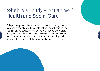### <span id="page-4-0"></span>**What is a Study Programme? Programme? Health and Social Care**

This pathway would be suitable for anyone thinking about a career in social care. The qualification you will gain can be used as an introduction to working with adults or children and young people. You will be given an introduction to the role of a social care worker and learn about equality and diversity, health and safety, safeguarding and duty of care.

 $\lambda$ 

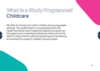### <span id="page-5-0"></span>**What is a Study Programme? Programme? Childcare**

We offer an introduction within children and young people settings. This qualification is incorporated within the Health and Social Care Programme (above) and gives you the opportunity to develop professional skills such as the ability to keep children safe and preparing and maintaining environments to support children's varying needs.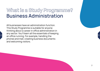#### <span id="page-6-0"></span>**What is a Study Programme? Programme? Business Administration**

**7** 

All businesses have an administration function. This Study Programme is suitable for anyone thinking about a career in office administration in any sector. You'll learn all the essentials of keeping an office running. For example, handling the phones and mail, creating business documents and welcoming visitors.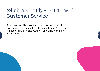#### <span id="page-7-0"></span>**What is a Study Programme? Programme? Customer Service**

If you think you'd be most happy serving customers, then this Study Programme will be of interest to you. You'll learn relationship building and customer care skills relevant to any industry.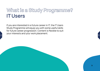### <span id="page-8-0"></span>**What is a Study Programme? Programme? IT Users**

If you are interested in a future career in IT, the IT Users Study Programme will equip you with some useful skills for future career progression. Content is flexible to suit your interests and your work placement.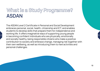#### <span id="page-9-0"></span>**What is a Study Programme? Programme? ASDAN**

The ASDAN Level 2 Certificate in Personal and Social Development embraces personal, social, health, citizenship and ICT, and enables students to develop skills that prepare them for independence and working life. It offers imaginative ways of supporting young people in becoming confident individuals who are physically, emotionally and socially healthy, being responsible citizens who make a positive contribution to society and embrace change, managing risk together with their own wellbeing, as well as introducing them to new activities and personal challenges.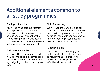### **Additional elements common to all study programmes**

#### **Employability skills**

 $\hat{\lambda}$ 

You will gain valuable qualifications and experience to support you in finding a job or to progress onto a college course or apprenticeship. These will typically include how to complete job applications, interview skills and effective communication.

#### **Enrichment activities**

All Hoople Study Programmes will include time to learn essential skills that are transferable to everyday life, eg budgeting, cookery, planning an event.

#### **Skills for working life**

We will support you to develop personal and work-related skills that will help you to progress and/or are of particular interest to you eg personal finance, food hygiene, manual handling and many other options.

#### **Functional skills**

We will help you to develop your maths and English skills, focusing particularly on problem solving and being able to apply the skills effectively in real situations.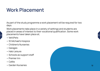#### **Work Placement**

As part of the study programme a work placement will be required for two days.

Work placements take place in a variety of settings and students are placed in areas of interest to their vocational qualification. Some work placements have taken place at;

• Vet4Pets

 $\lambda$ 

- St Michael's Hospice
- Children's Nurseries
- Garages
- Halo Leisure
- $\bullet\,$  Schools as support staff $\phantom{a}$
- Premier Inn
- Cafés
- 



 $\frac{V}{V}$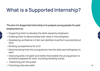# <span id="page-12-0"></span>**What is a Supported Internship?**

**The aim of a Supported Internship is to prepare young people for paid employment by:** 

- Supporting them to develop the skills valued by employers
- Enabling them to demonstrate their value in the workplace
- Developing confidence in their own abilities to perform successfully at work
- Building up experience for a CV

- Demonstrating that the young person has the skills and willingness to work
- Improving skills in English and maths that enable the young person to be better prepared for work, including handling money.
- Interacting with the public
- Practising interview skills **13**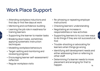# **Work Place Support**

- Attending workplace inductions and first day or first few days at work
- Mentoring and confidence-building
- Learning the job role in readiness for training learners
- Supporting the learner to master tasks
- Breaking down tasks, sometimes applying systematic instruction techniques
- Modelling workplace behaviours
- Target-setting and monitoring and reviewing progress
- Encouraging learner self-assessment/ reflection
- Regular workplace visits

 $\lambda$ 

- Re-phrasing or repeating employer instructions
- Checking learners' understanding
- Negotiating an increase in responsibilities or new activities
- Supporting learners to try out new ways to do things if they are not successful at first
- Trouble-shooting or advocating for learners when things go wrong
- Identifying skill development needs and either addressing them or referring to other staff
- Determining if a learner needs to move placement and arranging for that to happen. **14**

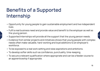# <span id="page-14-0"></span>**Benefits of a Supported Internship**

- Opportunity for young people to gain sustainable employment and live independent lives.
- Fulfil a real business need and provide value and benefit to the employer as well as the young person.
- Supported Internships will provide all the support that the young person needs.
- Evidence from similar projects and initiatives shows that young people with complex needs often make valuable, hard-working and loyal additions to an employer's workforce.
- To be exposed to a real work setting and raise aspirations and ambitions.-
- To develop softer skills such as confidence, punctuality, time-keeping.
- To secure a relevant qualification where appropriate and can be a feeder course to an apprenticeship if appropriate.